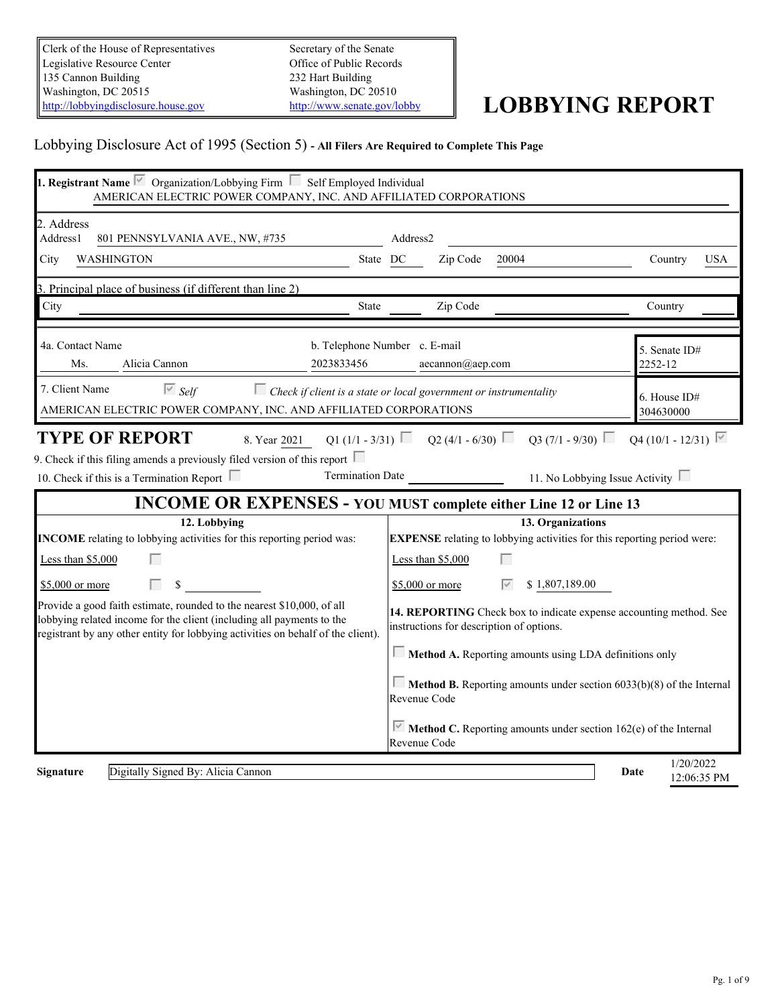Clerk of the House of Representatives Legislative Resource Center 135 Cannon Building Washington, DC 20515<br>
Mushington, DC 20510<br>
http://lobbyingdisclosure.house.gov<br>
http://www.senate.gov/lobby [http://lobbyingdisclosure.house.gov](http://lobbyingdisclosure.house.gov/)

Secretary of the Senate Office of Public Records 232 Hart Building Washington, DC 20510

# <http://www.senate.gov/lobby> **LOBBYING REPORT**

## Lobbying Disclosure Act of 1995 (Section 5) **- All Filers Are Required to Complete This Page**

| <b>1. Registrant Name</b> $\overline{\triangledown}$ Organization/Lobbying Firm $\overline{\square}$ Self Employed Individual<br>AMERICAN ELECTRIC POWER COMPANY, INC. AND AFFILIATED CORPORATIONS                                  |                                                                                                                |                                  |  |  |  |  |
|-------------------------------------------------------------------------------------------------------------------------------------------------------------------------------------------------------------------------------------|----------------------------------------------------------------------------------------------------------------|----------------------------------|--|--|--|--|
| 2. Address<br>801 PENNSYLVANIA AVE., NW, #735<br>Address1<br><b>WASHINGTON</b><br>State DC<br>City                                                                                                                                  | Address2<br>Zip Code 20004                                                                                     | <b>USA</b><br>Country            |  |  |  |  |
| 3. Principal place of business (if different than line 2)                                                                                                                                                                           |                                                                                                                |                                  |  |  |  |  |
| City<br>State                                                                                                                                                                                                                       | Zip Code                                                                                                       | Country                          |  |  |  |  |
| 4a. Contact Name<br>b. Telephone Number c. E-mail<br>Alicia Cannon<br>2023833456<br>Ms.                                                                                                                                             | aecannon@aep.com                                                                                               | Senate ID#<br>2252-12            |  |  |  |  |
| 7. Client Name<br>$\overline{\triangleright}$ Self<br>AMERICAN ELECTRIC POWER COMPANY, INC. AND AFFILIATED CORPORATIONS                                                                                                             | $\Box$ Check if client is a state or local government or instrumentality                                       | 6. House ID#<br>304630000        |  |  |  |  |
| 10. Check if this is a Termination Report $\Box$<br>INCOME OR EXPENSES - YOU MUST complete either Line 12 or Line 13                                                                                                                | Termination Date 11. No Lobbying Issue Activity □                                                              |                                  |  |  |  |  |
| 12. Lobbying                                                                                                                                                                                                                        | 13. Organizations                                                                                              |                                  |  |  |  |  |
| <b>INCOME</b> relating to lobbying activities for this reporting period was:                                                                                                                                                        | <b>EXPENSE</b> relating to lobbying activities for this reporting period were:                                 |                                  |  |  |  |  |
| Less than $$5,000$                                                                                                                                                                                                                  | Less than \$5,000                                                                                              |                                  |  |  |  |  |
| \$5,000 or more                                                                                                                                                                                                                     | \$1,807,189.00<br>\$5,000 or more                                                                              |                                  |  |  |  |  |
| Provide a good faith estimate, rounded to the nearest \$10,000, of all<br>lobbying related income for the client (including all payments to the<br>registrant by any other entity for lobbying activities on behalf of the client). | 14. REPORTING Check box to indicate expense accounting method. See<br>instructions for description of options. |                                  |  |  |  |  |
|                                                                                                                                                                                                                                     | Method A. Reporting amounts using LDA definitions only                                                         |                                  |  |  |  |  |
|                                                                                                                                                                                                                                     | $\Box$ Method B. Reporting amounts under section 6033(b)(8) of the Internal<br>Revenue Code                    |                                  |  |  |  |  |
|                                                                                                                                                                                                                                     | Method C. Reporting amounts under section 162(e) of the Internal<br>Revenue Code                               |                                  |  |  |  |  |
| Digitally Signed By: Alicia Cannon<br>Signature                                                                                                                                                                                     |                                                                                                                | 1/20/2022<br>Date<br>12:06:35 PM |  |  |  |  |
|                                                                                                                                                                                                                                     |                                                                                                                |                                  |  |  |  |  |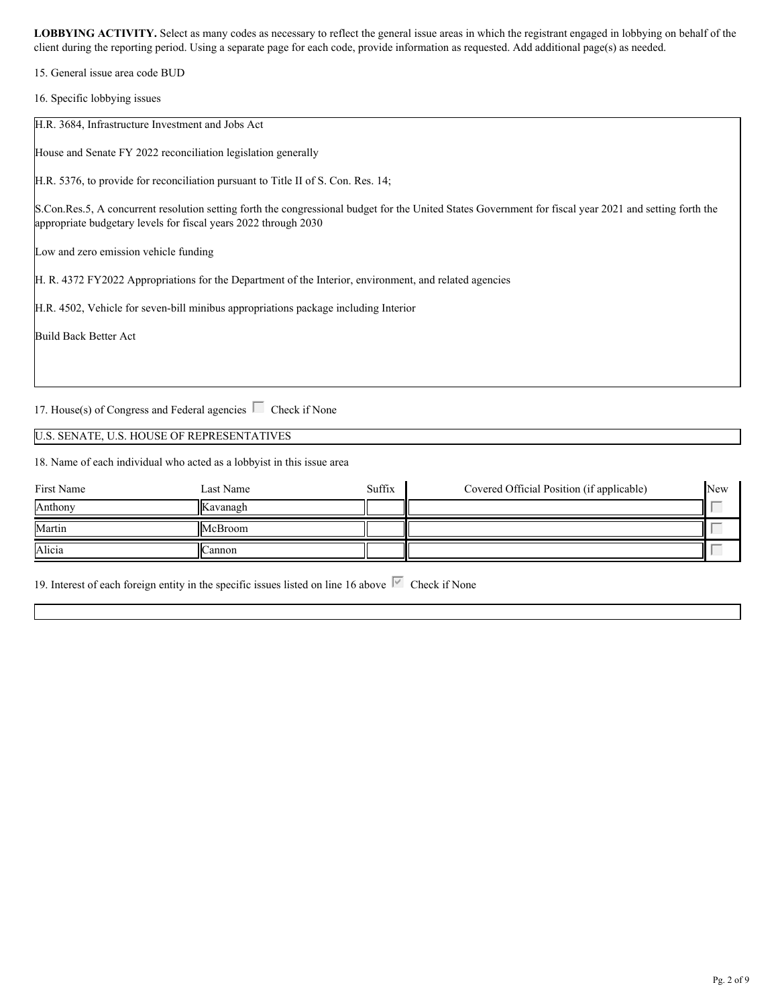15. General issue area code BUD

16. Specific lobbying issues

| H.R. 3684, Infrastructure Investment and Jobs Act                                                                                                                                                                          |  |
|----------------------------------------------------------------------------------------------------------------------------------------------------------------------------------------------------------------------------|--|
| House and Senate FY 2022 reconciliation legislation generally                                                                                                                                                              |  |
| H.R. 5376, to provide for reconciliation pursuant to Title II of S. Con. Res. 14;                                                                                                                                          |  |
| S.Con.Res.5, A concurrent resolution setting forth the congressional budget for the United States Government for fiscal year 2021 and setting forth the<br>appropriate budgetary levels for fiscal years 2022 through 2030 |  |
| Low and zero emission vehicle funding                                                                                                                                                                                      |  |
| H. R. 4372 FY2022 Appropriations for the Department of the Interior, environment, and related agencies                                                                                                                     |  |
| H.R. 4502, Vehicle for seven-bill minibus appropriations package including Interior                                                                                                                                        |  |
| Build Back Better Act                                                                                                                                                                                                      |  |
|                                                                                                                                                                                                                            |  |

17. House(s) of Congress and Federal agencies  $\Box$  Check if None

#### U.S. SENATE, U.S. HOUSE OF REPRESENTATIVES

18. Name of each individual who acted as a lobbyist in this issue area

| First Name | Last Name | Suffix | Covered Official Position (if applicable) | <b>New</b> |  |
|------------|-----------|--------|-------------------------------------------|------------|--|
| Anthony    | Kavanagh  |        |                                           |            |  |
| Martin     | McBroom   |        |                                           |            |  |
| Alicia     | ∠annon    |        |                                           |            |  |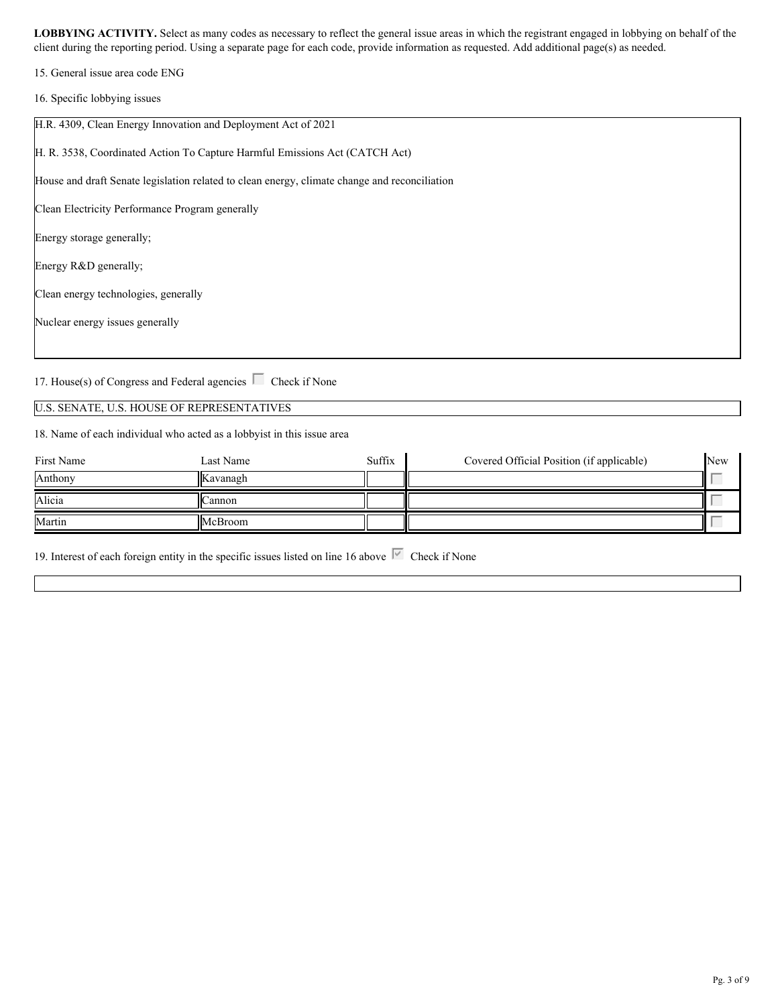15. General issue area code ENG

16. Specific lobbying issues

| H.R. 4309, Clean Energy Innovation and Deployment Act of 2021                                 |
|-----------------------------------------------------------------------------------------------|
| H. R. 3538, Coordinated Action To Capture Harmful Emissions Act (CATCH Act)                   |
| House and draft Senate legislation related to clean energy, climate change and reconciliation |
| Clean Electricity Performance Program generally                                               |
| Energy storage generally;                                                                     |
| Energy R&D generally;                                                                         |
| Clean energy technologies, generally                                                          |
| Nuclear energy issues generally                                                               |
|                                                                                               |

17. House(s) of Congress and Federal agencies  $\Box$  Check if None

## U.S. SENATE, U.S. HOUSE OF REPRESENTATIVES

18. Name of each individual who acted as a lobbyist in this issue area

| First Name | Last Name | Suffix | Covered Official Position (if applicable) | New |  |
|------------|-----------|--------|-------------------------------------------|-----|--|
| Anthony    | Kavanagh  |        |                                           |     |  |
| Alicia     | ∠annon    |        |                                           |     |  |
| Martin     | McBroom   |        |                                           |     |  |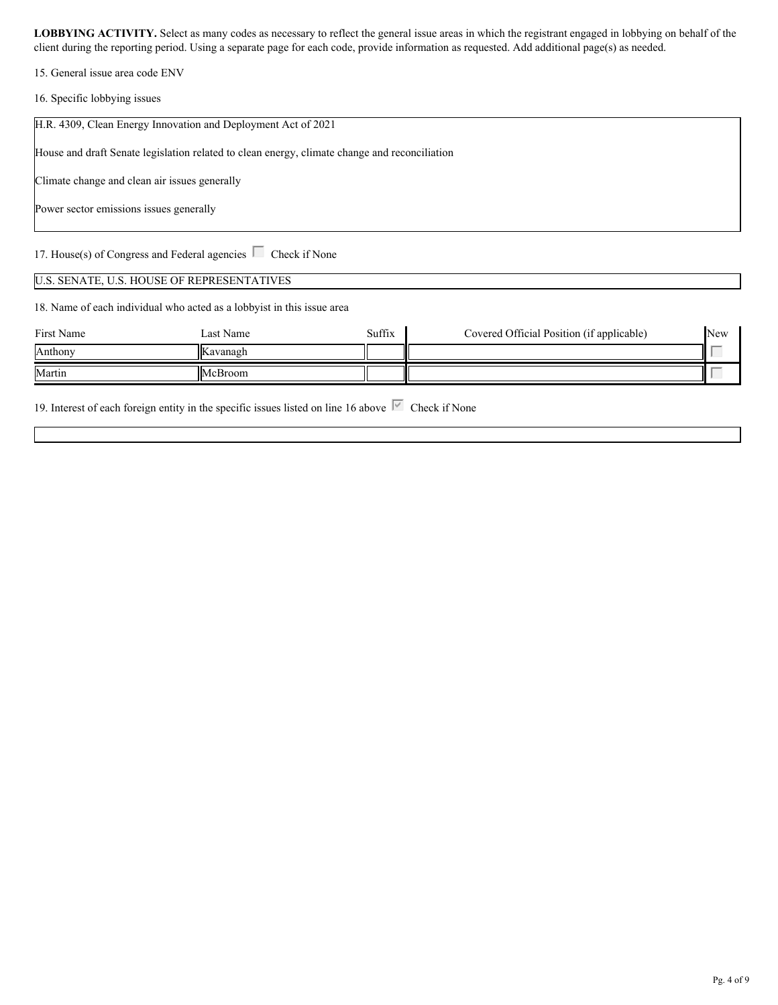15. General issue area code ENV

16. Specific lobbying issues

| H.R. 4309, Clean Energy Innovation and Deployment Act of 2021                                 |
|-----------------------------------------------------------------------------------------------|
| House and draft Senate legislation related to clean energy, climate change and reconciliation |
| Climate change and clean air issues generally                                                 |
| Power sector emissions issues generally                                                       |
| 17. House(s) of Congress and Federal agencies $\Box$ Check if None                            |

#### U.S. SENATE, U.S. HOUSE OF REPRESENTATIVES

18. Name of each individual who acted as a lobbyist in this issue area

| First Name | Last Name       | Suffix | Covered Official Position (if applicable) | New |  |
|------------|-----------------|--------|-------------------------------------------|-----|--|
| Anthony    | <b>Kavanagh</b> |        |                                           |     |  |
| Martin     | McBroom         |        |                                           |     |  |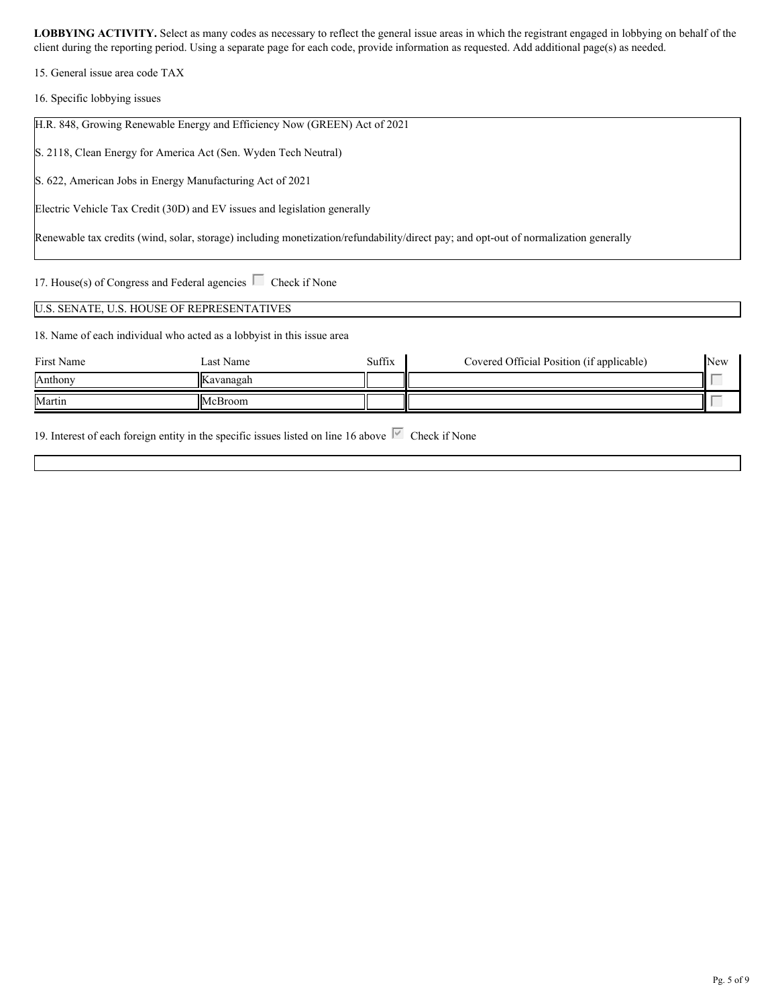15. General issue area code TAX

16. Specific lobbying issues

| H.R. 848, Growing Renewable Energy and Efficiency Now (GREEN) Act of 2021                                                            |  |
|--------------------------------------------------------------------------------------------------------------------------------------|--|
| S. 2118, Clean Energy for America Act (Sen. Wyden Tech Neutral)                                                                      |  |
| S. 622, American Jobs in Energy Manufacturing Act of 2021                                                                            |  |
| Electric Vehicle Tax Credit (30D) and EV issues and legislation generally                                                            |  |
| Renewable tax credits (wind, solar, storage) including monetization/refundability/direct pay; and opt-out of normalization generally |  |
|                                                                                                                                      |  |

17. House(s) of Congress and Federal agencies  $\Box$  Check if None

#### U.S. SENATE, U.S. HOUSE OF REPRESENTATIVES

18. Name of each individual who acted as a lobbyist in this issue area

| First Name | Last Name | Suffix | Covered Official Position (if applicable) | New |  |
|------------|-----------|--------|-------------------------------------------|-----|--|
| Anthony    | Kavanagah |        |                                           |     |  |
| Martin     | McBroom   |        |                                           |     |  |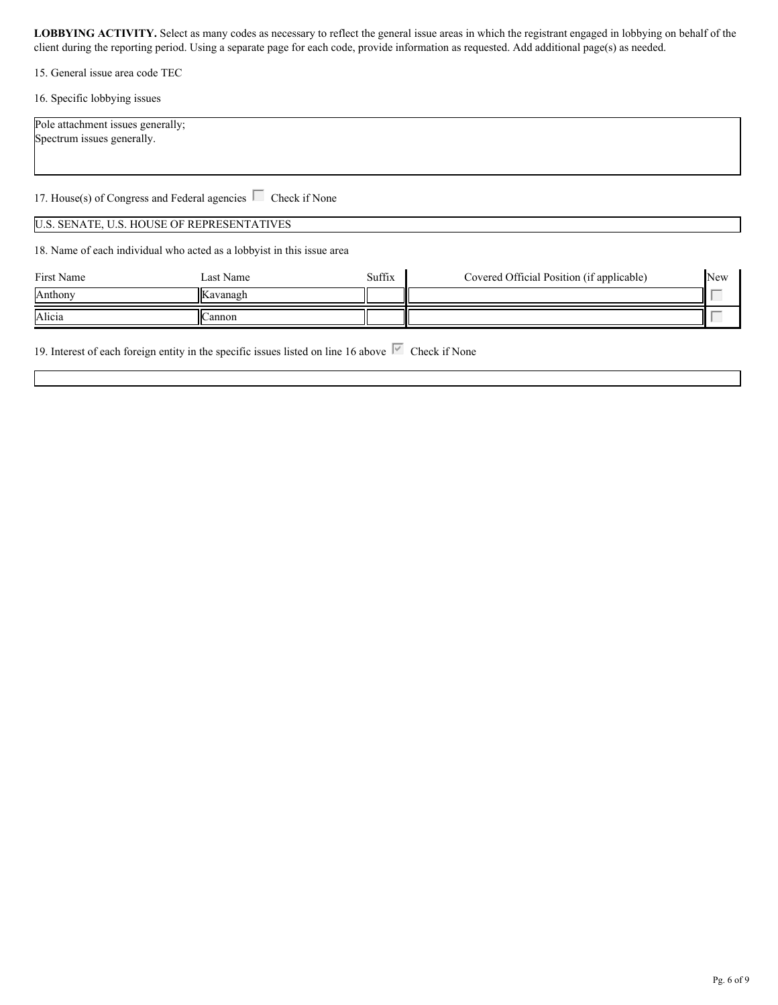15. General issue area code TEC

16. Specific lobbying issues

| Pole attachment issues generally; |
|-----------------------------------|
| Spectrum issues generally.        |
|                                   |

17. House(s) of Congress and Federal agencies  $\Box$  Check if None

#### U.S. SENATE, U.S. HOUSE OF REPRESENTATIVES

18. Name of each individual who acted as a lobbyist in this issue area

| First Name | Last Name | Suffix | Covered Official Position (if applicable) | <b>New</b> |  |
|------------|-----------|--------|-------------------------------------------|------------|--|
| Anthony    | Kavanagh  |        |                                           | $\sim$     |  |
| Alicia     | Cannon    |        |                                           | $\sim$     |  |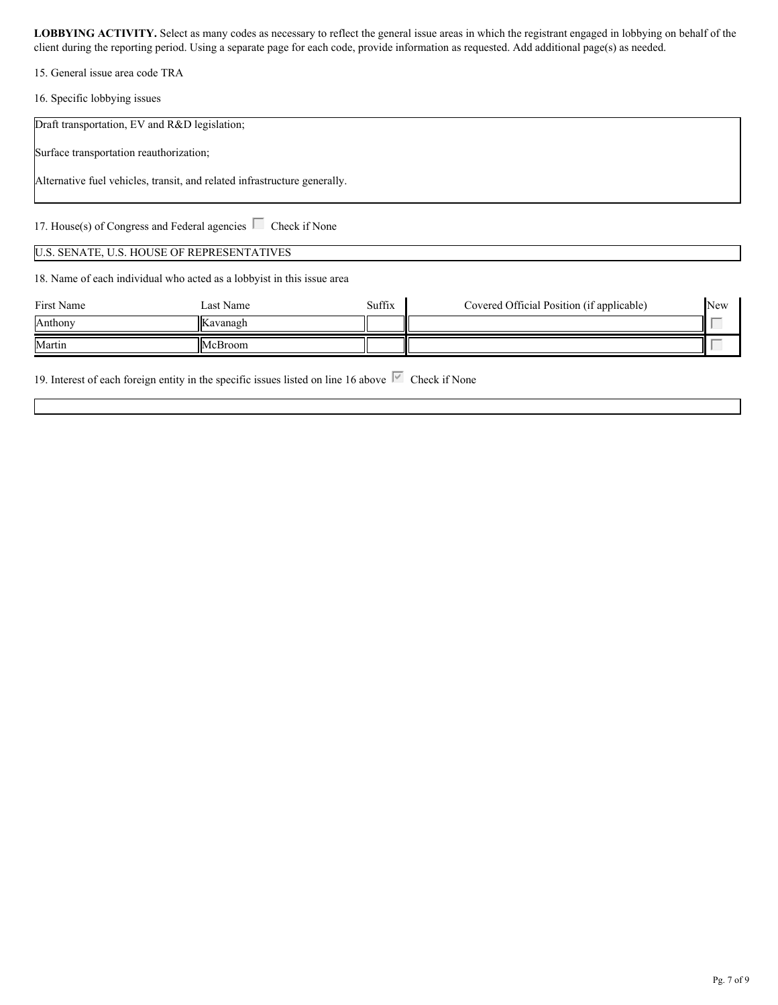15. General issue area code TRA

16. Specific lobbying issues

| Draft transportation, EV and R&D legislation; |                                                                           |        |                                           |     |
|-----------------------------------------------|---------------------------------------------------------------------------|--------|-------------------------------------------|-----|
| Surface transportation reauthorization;       |                                                                           |        |                                           |     |
|                                               | Alternative fuel vehicles, transit, and related infrastructure generally. |        |                                           |     |
|                                               | 17. House(s) of Congress and Federal agencies $\Box$ Check if None        |        |                                           |     |
|                                               | U.S. SENATE, U.S. HOUSE OF REPRESENTATIVES                                |        |                                           |     |
|                                               | 18. Name of each individual who acted as a lobbyist in this issue area    |        |                                           |     |
| First Name                                    | Last Name                                                                 | Suffix | Covered Official Position (if applicable) | New |

| THE THEFT | Last France | $U$ ulla | Coverca Official I ostituit (if applicable) | $\blacksquare$ |
|-----------|-------------|----------|---------------------------------------------|----------------|
| Anthony   | Kavanagh    |          |                                             |                |
| Martin    | McBroom     |          |                                             |                |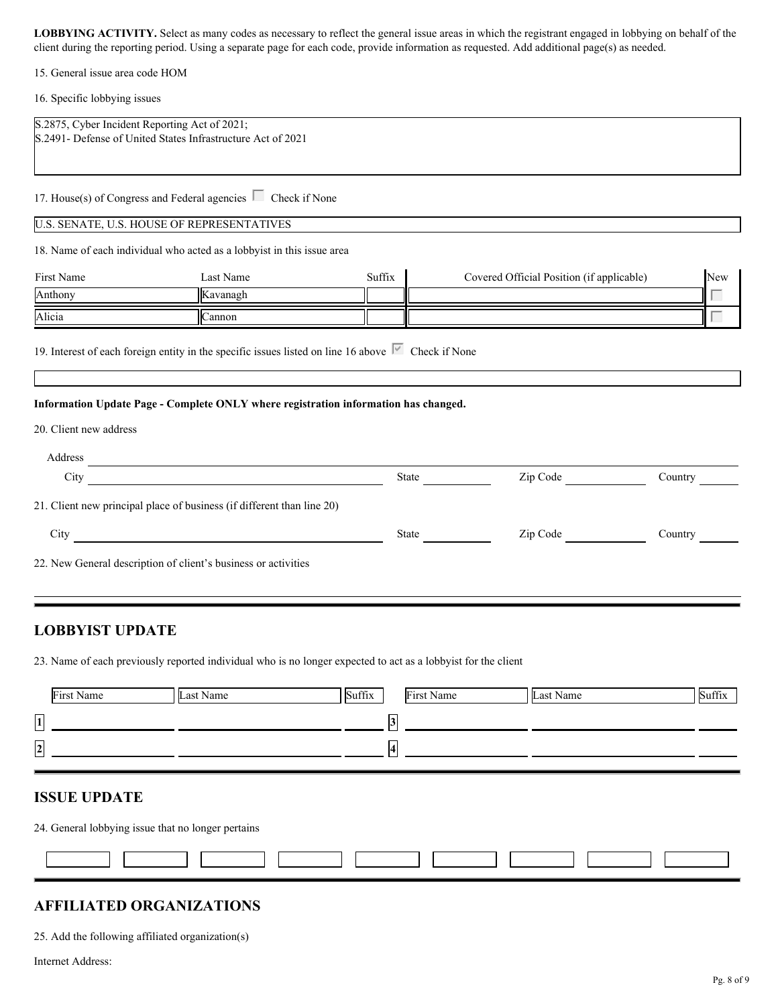15. General issue area code HOM

16. Specific lobbying issues

| S.2875, Cyber Incident Reporting Act of 2021;<br>S.2491- Defense of United States Infrastructure Act of 2021                                                                                                                   |            |
|--------------------------------------------------------------------------------------------------------------------------------------------------------------------------------------------------------------------------------|------------|
| 17. House(s) of Congress and Federal agencies $\Box$ Check if None<br>18. Name of each individual who acted as a lobbyist in this issue area                                                                                   |            |
|                                                                                                                                                                                                                                |            |
|                                                                                                                                                                                                                                |            |
| U.S. SENATE, U.S. HOUSE OF REPRESENTATIVES                                                                                                                                                                                     |            |
|                                                                                                                                                                                                                                |            |
|                                                                                                                                                                                                                                |            |
| Suffix<br>Covered Official Position (if applicable)<br>Last Name<br>First Name                                                                                                                                                 | <b>New</b> |
| Anthony<br>Kavanagh                                                                                                                                                                                                            |            |
| Alicia<br>Cannon                                                                                                                                                                                                               |            |
| Information Update Page - Complete ONLY where registration information has changed.<br>20. Client new address                                                                                                                  |            |
| Address and the contract of the contract of the contract of the contract of the contract of the contract of the contract of the contract of the contract of the contract of the contract of the contract of the contract of th |            |
| <u> 1980 - Johann Barbara, martin d</u><br>State<br>Zip Code<br>City                                                                                                                                                           | Country    |
| 21. Client new principal place of business (if different than line 20)                                                                                                                                                         |            |
| Zip Code<br>City<br>State                                                                                                                                                                                                      | Country    |
|                                                                                                                                                                                                                                |            |
| 22. New General description of client's business or activities                                                                                                                                                                 |            |
|                                                                                                                                                                                                                                |            |

## **LOBBYIST UPDATE**

23. Name of each previously reported individual who is no longer expected to act as a lobbyist for the client

|                           | First Name | Last Name | Suffix | First Name | Last Name | Suffix |
|---------------------------|------------|-----------|--------|------------|-----------|--------|
| $\Box$<br> 1 <br>المستنبذ |            |           |        |            |           |        |
| $\overline{2}$<br>▃       |            |           |        |            |           |        |
|                           |            |           |        |            |           |        |

## **ISSUE UPDATE**

24. General lobbying issue that no longer pertains

#### **AFFILIATED ORGANIZATIONS**

25. Add the following affiliated organization(s)

Internet Address: